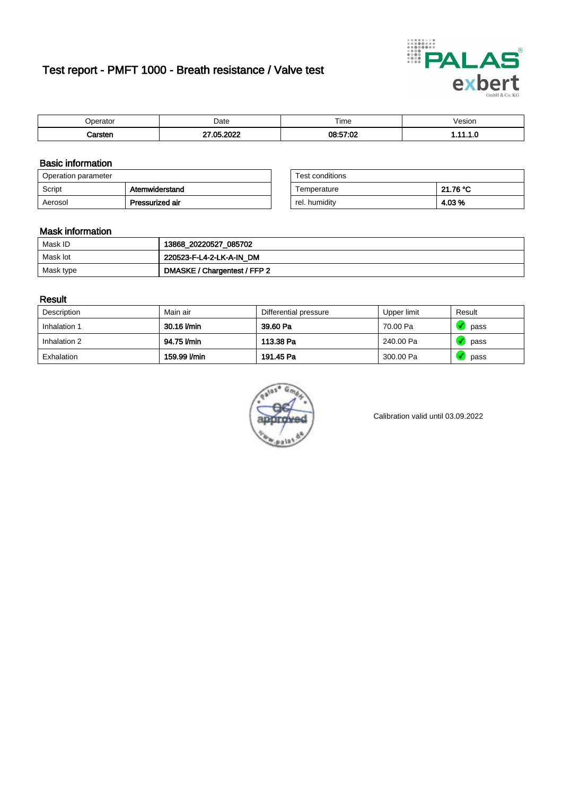# Test report - PMFT 1000 - Breath resistance / Valve test



| nerator <sup>'</sup> | Date      | $- \cdot$<br>Time | /esion |
|----------------------|-----------|-------------------|--------|
|                      | റററ<br>ΛE | 08:57:02          | .      |

### Basic information

| Operation parameter |                 | Test conditions |          |
|---------------------|-----------------|-----------------|----------|
| Script              | Atemwiderstand  | Temperature     | 21.76 °C |
| Aerosol             | Pressurized air | rel. humidity   | 4.03%    |

| Test conditions |          |
|-----------------|----------|
| Temperature     | 21.76 °C |
| rel. humidity   | 4.03 %   |

### Mask information

| Mask ID   | 13868_20220527_085702        |
|-----------|------------------------------|
| Mask lot  | 220523-F-L4-2-LK-A-IN DM     |
| Mask type | DMASKE / Chargentest / FFP 2 |

### Result

| Description  | Main air     | Differential pressure | Upper limit | Result |
|--------------|--------------|-----------------------|-------------|--------|
| Inhalation 1 | 30.16 l/min  | 39.60 Pa              | 70.00 Pa    | pass   |
| Inhalation 2 | 94.75 l/min  | 113.38 Pa             | 240.00 Pa   | pass   |
| Exhalation   | 159.99 l/min | 191.45 Pa             | 300.00 Pa   | pass   |



Calibration valid until 03.09.2022